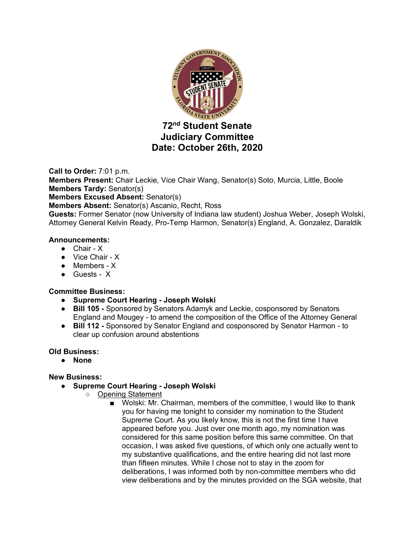

# **72nd Student Senate Judiciary Committee Date: October 26th, 2020**

**Call to Order:** 7:01 p.m. **Members Present:** Chair Leckie, Vice Chair Wang, Senator(s) Soto, Murcia, Little, Boole **Members Tardy:** Senator(s) **Members Excused Absent:** Senator(s) **Members Absent:** Senator(s) Ascanio, Recht, Ross **Guests:** Former Senator (now University of Indiana law student) Joshua Weber, Joseph Wolski, Attorney General Kelvin Ready, Pro-Temp Harmon, Senator(s) England, A. Gonzalez, Daraldik

## **Announcements:**

- Chair X
- Vice Chair X
- Members X
- Guests X

## **Committee Business:**

- **Supreme Court Hearing - Joseph Wolski**
- **Bill 105 -** Sponsored by Senators Adamyk and Leckie, cosponsored by Senators England and Mougey - to amend the composition of the Office of the Attorney General
- **Bill 112 -** Sponsored by Senator England and cosponsored by Senator Harmon to clear up confusion around abstentions

## **Old Business:**

● **None**

## **New Business:**

- **Supreme Court Hearing - Joseph Wolski**
	- Opening Statement
		- Wolski: Mr. Chairman, members of the committee, I would like to thank you for having me tonight to consider my nomination to the Student Supreme Court. As you likely know, this is not the first time I have appeared before you. Just over one month ago, my nomination was considered for this same position before this same committee. On that occasion, I was asked five questions, of which only one actually went to my substantive qualifications, and the entire hearing did not last more than fifteen minutes. While I chose not to stay in the zoom for deliberations, I was informed both by non-committee members who did view deliberations and by the minutes provided on the SGA website, that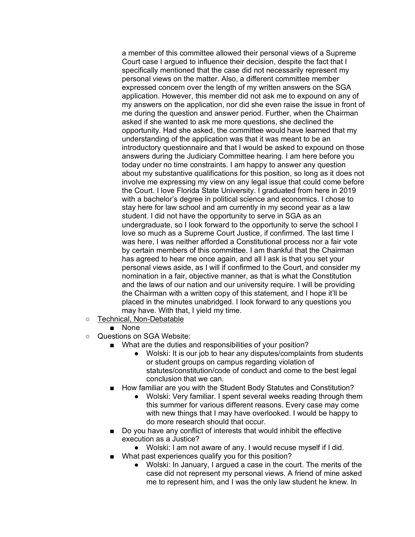a member of this committee allowed their personal views of a Supreme Court case I argued to influence their decision, despite the fact that I specifically mentioned that the case did not necessarily represent my personal views on the matter. Also, a different committee member expressed concern over the length of my written answers on the SGA application. However, this member did not ask me to expound on any of my answers on the application, nor did she even raise the issue in front of me during the question and answer period. Further, when the Chairman asked if she wanted to ask me more questions, she declined the opportunity. Had she asked, the committee would have learned that my understanding of the application was that it was meant to be an introductory questionnaire and that I would be asked to expound on those answers during the Judiciary Committee hearing. I am here before you today under no time constraints. I am happy to answer any question about my substantive qualifications for this position, so long as it does not involve me expressing my view on any legal issue that could come before the Court. I love Florida State University. I graduated from here in 2019 with a bachelor's degree in political science and economics. I chose to stay here for law school and am currently in my second year as a law student. I did not have the opportunity to serve in SGA as an undergraduate, so I look forward to the opportunity to serve the school I love so much as a Supreme Court Justice, if confirmed. The last time I was here, I was neither afforded a Constitutional process nor a fair vote by certain members of this committee. I am thankful that the Chairman has agreed to hear me once again, and all I ask is that you set your personal views aside, as I will if confirmed to the Court, and consider my nomination in a fair, objective manner, as that is what the Constitution and the laws of our nation and our university require. I will be providing the Chairman with a written copy of this statement, and I hope it'll be placed in the minutes unabridged. I look forward to any questions you may have. With that, I yield my time.

- Technical, Non-Debatable
	- None
- Questions on SGA Website:
	- What are the duties and responsibilities of your position?
		- Wolski: It is our job to hear any disputes/complaints from students or student groups on campus regarding violation of statutes/constitution/code of conduct and come to the best legal conclusion that we can.
	- How familiar are you with the Student Body Statutes and Constitution?
		- Wolski: Very familiar. I spent several weeks reading through them this summer for various different reasons. Every case may come with new things that I may have overlooked. I would be happy to do more research should that occur.
	- Do you have any conflict of interests that would inhibit the effective execution as a Justice?
		- Wolski: I am not aware of any. I would recuse myself if I did.
	- What past experiences qualify you for this position?
		- Wolski: In January, I argued a case in the court. The merits of the case did not represent my personal views. A friend of mine asked me to represent him, and I was the only law student he knew. In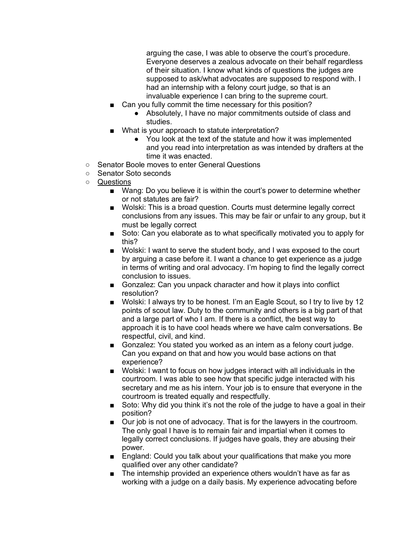arguing the case, I was able to observe the court's procedure. Everyone deserves a zealous advocate on their behalf regardless of their situation. I know what kinds of questions the judges are supposed to ask/what advocates are supposed to respond with. I had an internship with a felony court judge, so that is an invaluable experience I can bring to the supreme court.

- Can you fully commit the time necessary for this position?
	- Absolutely, I have no major commitments outside of class and studies.
- What is your approach to statute interpretation?
	- You look at the text of the statute and how it was implemented and you read into interpretation as was intended by drafters at the time it was enacted.
- Senator Boole moves to enter General Questions
- Senator Soto seconds
- Questions
	- Wang: Do you believe it is within the court's power to determine whether or not statutes are fair?
	- Wolski: This is a broad question. Courts must determine legally correct conclusions from any issues. This may be fair or unfair to any group, but it must be legally correct
	- Soto: Can you elaborate as to what specifically motivated you to apply for this?
	- Wolski: I want to serve the student body, and I was exposed to the court by arguing a case before it. I want a chance to get experience as a judge in terms of writing and oral advocacy. I'm hoping to find the legally correct conclusion to issues.
	- Gonzalez: Can you unpack character and how it plays into conflict resolution?
	- Wolski: I always try to be honest. I'm an Eagle Scout, so I try to live by 12 points of scout law. Duty to the community and others is a big part of that and a large part of who I am. If there is a conflict, the best way to approach it is to have cool heads where we have calm conversations. Be respectful, civil, and kind.
	- Gonzalez: You stated you worked as an intern as a felony court judge. Can you expand on that and how you would base actions on that experience?
	- Wolski: I want to focus on how judges interact with all individuals in the courtroom. I was able to see how that specific judge interacted with his secretary and me as his intern. Your job is to ensure that everyone in the courtroom is treated equally and respectfully.
	- Soto: Why did you think it's not the role of the judge to have a goal in their position?
	- Our job is not one of advocacy. That is for the lawyers in the courtroom. The only goal I have is to remain fair and impartial when it comes to legally correct conclusions. If judges have goals, they are abusing their power.
	- England: Could you talk about your qualifications that make you more qualified over any other candidate?
	- The internship provided an experience others wouldn't have as far as working with a judge on a daily basis. My experience advocating before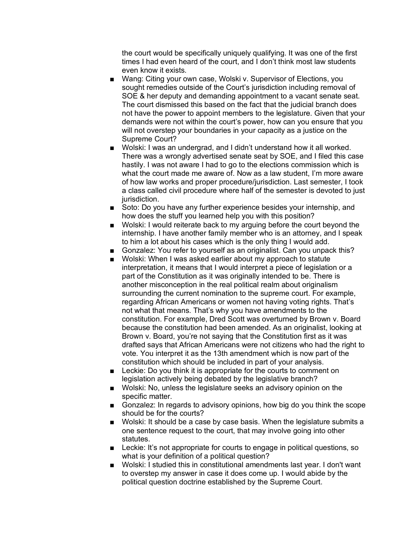the court would be specifically uniquely qualifying. It was one of the first times I had even heard of the court, and I don't think most law students even know it exists.

- Wang: Citing your own case, Wolski v. Supervisor of Elections, you sought remedies outside of the Court's jurisdiction including removal of SOE & her deputy and demanding appointment to a vacant senate seat. The court dismissed this based on the fact that the judicial branch does not have the power to appoint members to the legislature. Given that your demands were not within the court's power, how can you ensure that you will not overstep your boundaries in your capacity as a justice on the Supreme Court?
- Wolski: I was an undergrad, and I didn't understand how it all worked. There was a wrongly advertised senate seat by SOE, and I filed this case hastily. I was not aware I had to go to the elections commission which is what the court made me aware of. Now as a law student, I'm more aware of how law works and proper procedure/jurisdiction. Last semester, I took a class called civil procedure where half of the semester is devoted to just jurisdiction.
- Soto: Do you have any further experience besides your internship, and how does the stuff you learned help you with this position?
- Wolski: I would reiterate back to my arguing before the court beyond the internship. I have another family member who is an attorney, and I speak to him a lot about his cases which is the only thing I would add.
- Gonzalez: You refer to yourself as an originalist. Can you unpack this?
- Wolski: When I was asked earlier about my approach to statute interpretation, it means that I would interpret a piece of legislation or a part of the Constitution as it was originally intended to be. There is another misconception in the real political realm about originalism surrounding the current nomination to the supreme court. For example, regarding African Americans or women not having voting rights. That's not what that means. That's why you have amendments to the constitution. For example, Dred Scott was overturned by Brown v. Board because the constitution had been amended. As an originalist, looking at Brown v. Board, you're not saying that the Constitution first as it was drafted says that African Americans were not citizens who had the right to vote. You interpret it as the 13th amendment which is now part of the constitution which should be included in part of your analysis.
- Leckie: Do you think it is appropriate for the courts to comment on legislation actively being debated by the legislative branch?
- Wolski: No, unless the legislature seeks an advisory opinion on the specific matter.
- Gonzalez: In regards to advisory opinions, how big do you think the scope should be for the courts?
- Wolski: It should be a case by case basis. When the legislature submits a one sentence request to the court, that may involve going into other statutes.
- Leckie: It's not appropriate for courts to engage in political questions, so what is your definition of a political question?
- Wolski: I studied this in constitutional amendments last year. I don't want to overstep my answer in case it does come up. I would abide by the political question doctrine established by the Supreme Court.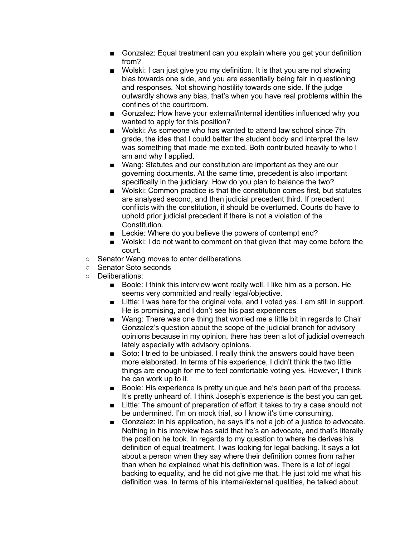- Gonzalez: Equal treatment can you explain where you get your definition from?
- Wolski: I can just give you my definition. It is that you are not showing bias towards one side, and you are essentially being fair in questioning and responses. Not showing hostility towards one side. If the judge outwardly shows any bias, that's when you have real problems within the confines of the courtroom.
- Gonzalez: How have your external/internal identities influenced why you wanted to apply for this position?
- Wolski: As someone who has wanted to attend law school since 7th grade, the idea that I could better the student body and interpret the law was something that made me excited. Both contributed heavily to who I am and why I applied.
- Wang: Statutes and our constitution are important as they are our governing documents. At the same time, precedent is also important specifically in the judiciary. How do you plan to balance the two?
- Wolski: Common practice is that the constitution comes first, but statutes are analysed second, and then judicial precedent third. If precedent conflicts with the constitution, it should be overturned. Courts do have to uphold prior judicial precedent if there is not a violation of the Constitution.
- Leckie: Where do you believe the powers of contempt end?
- Wolski: I do not want to comment on that given that may come before the court.
- Senator Wang moves to enter deliberations
- Senator Soto seconds
- Deliberations:
	- Boole: I think this interview went really well. I like him as a person. He seems very committed and really legal/objective.
	- Little: I was here for the original vote, and I voted yes. I am still in support. He is promising, and I don't see his past experiences
	- Wang: There was one thing that worried me a little bit in regards to Chair Gonzalez's question about the scope of the judicial branch for advisory opinions because in my opinion, there has been a lot of judicial overreach lately especially with advisory opinions.
	- Soto: I tried to be unbiased. I really think the answers could have been more elaborated. In terms of his experience, I didn't think the two little things are enough for me to feel comfortable voting yes. However, I think he can work up to it.
	- Boole: His experience is pretty unique and he's been part of the process. It's pretty unheard of. I think Joseph's experience is the best you can get.
	- Little: The amount of preparation of effort it takes to try a case should not be undermined. I'm on mock trial, so I know it's time consuming.
	- Gonzalez: In his application, he says it's not a job of a justice to advocate. Nothing in his interview has said that he's an advocate, and that's literally the position he took. In regards to my question to where he derives his definition of equal treatment, I was looking for legal backing. It says a lot about a person when they say where their definition comes from rather than when he explained what his definition was. There is a lot of legal backing to equality, and he did not give me that. He just told me what his definition was. In terms of his internal/external qualities, he talked about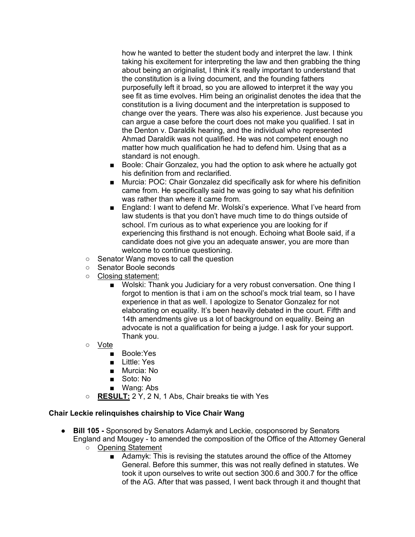how he wanted to better the student body and interpret the law. I think taking his excitement for interpreting the law and then grabbing the thing about being an originalist, I think it's really important to understand that the constitution is a living document, and the founding fathers purposefully left it broad, so you are allowed to interpret it the way you see fit as time evolves. Him being an originalist denotes the idea that the constitution is a living document and the interpretation is supposed to change over the years. There was also his experience. Just because you can argue a case before the court does not make you qualified. I sat in the Denton v. Daraldik hearing, and the individual who represented Ahmad Daraldik was not qualified. He was not competent enough no matter how much qualification he had to defend him. Using that as a standard is not enough.

- Boole: Chair Gonzalez, you had the option to ask where he actually got his definition from and reclarified.
- Murcia: POC: Chair Gonzalez did specifically ask for where his definition came from. He specifically said he was going to say what his definition was rather than where it came from.
- England: I want to defend Mr. Wolski's experience. What I've heard from law students is that you don't have much time to do things outside of school. I'm curious as to what experience you are looking for if experiencing this firsthand is not enough. Echoing what Boole said, if a candidate does not give you an adequate answer, you are more than welcome to continue questioning.
- Senator Wang moves to call the question
- Senator Boole seconds
- Closing statement:
	- Wolski: Thank you Judiciary for a very robust conversation. One thing I forgot to mention is that i am on the school's mock trial team, so I have experience in that as well. I apologize to Senator Gonzalez for not elaborating on equality. It's been heavily debated in the court. Fifth and 14th amendments give us a lot of background on equality. Being an advocate is not a qualification for being a judge. I ask for your support. Thank you.
- Vote
	- Boole:Yes
	- Little: Yes
	- Murcia: No
	- Soto: No
	- Wang: Abs
- **RESULT:** 2 Y, 2 N, 1 Abs, Chair breaks tie with Yes

## **Chair Leckie relinquishes chairship to Vice Chair Wang**

- **Bill 105 -** Sponsored by Senators Adamyk and Leckie, cosponsored by Senators England and Mougey - to amended the composition of the Office of the Attorney General
	- Opening Statement
		- Adamyk: This is revising the statutes around the office of the Attorney General. Before this summer, this was not really defined in statutes. We took it upon ourselves to write out section 300.6 and 300.7 for the office of the AG. After that was passed, I went back through it and thought that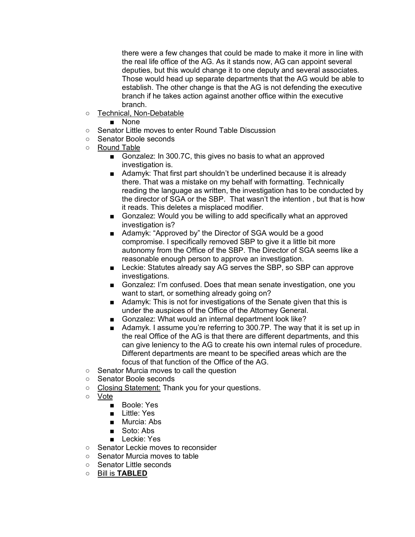there were a few changes that could be made to make it more in line with the real life office of the AG. As it stands now, AG can appoint several deputies, but this would change it to one deputy and several associates. Those would head up separate departments that the AG would be able to establish. The other change is that the AG is not defending the executive branch if he takes action against another office within the executive branch.

○ Technical, Non-Debatable

■ None

- Senator Little moves to enter Round Table Discussion
- Senator Boole seconds
- Round Table
	- Gonzalez: In 300.7C, this gives no basis to what an approved investigation is.
	- Adamyk: That first part shouldn't be underlined because it is already there. That was a mistake on my behalf with formatting. Technically reading the language as written, the investigation has to be conducted by the director of SGA or the SBP. That wasn't the intention , but that is how it reads. This deletes a misplaced modifier.
	- Gonzalez: Would you be willing to add specifically what an approved investigation is?
	- Adamyk: "Approved by" the Director of SGA would be a good compromise. I specifically removed SBP to give it a little bit more autonomy from the Office of the SBP. The Director of SGA seems like a reasonable enough person to approve an investigation.
	- Leckie: Statutes already say AG serves the SBP, so SBP can approve investigations.
	- Gonzalez: I'm confused. Does that mean senate investigation, one you want to start, or something already going on?
	- Adamyk: This is not for investigations of the Senate given that this is under the auspices of the Office of the Attorney General.
	- Gonzalez: What would an internal department look like?
	- Adamyk. I assume you're referring to 300.7P. The way that it is set up in the real Office of the AG is that there are different departments, and this can give leniency to the AG to create his own internal rules of procedure. Different departments are meant to be specified areas which are the focus of that function of the Office of the AG.
- Senator Murcia moves to call the question
- Senator Boole seconds
- Closing Statement: Thank you for your questions.
- Vote
	- Boole: Yes
	- Little: Yes
	- Murcia: Abs
	- Soto: Abs
	- Leckie: Yes
- Senator Leckie moves to reconsider
- Senator Murcia moves to table
- Senator Little seconds
- Bill is **TABLED**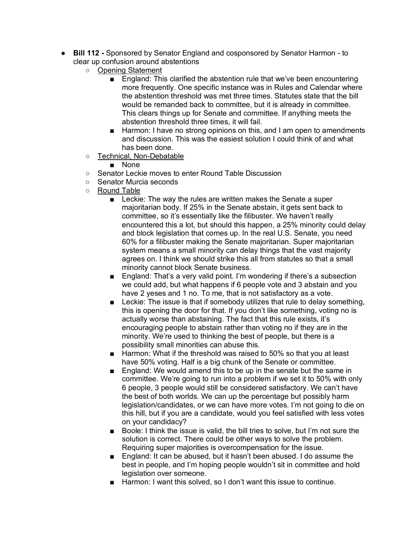- **Bill 112 -** Sponsored by Senator England and cosponsored by Senator Harmon to clear up confusion around abstentions
	- Opening Statement
		- England: This clarified the abstention rule that we've been encountering more frequently. One specific instance was in Rules and Calendar where the abstention threshold was met three times. Statutes state that the bill would be remanded back to committee, but it is already in committee. This clears things up for Senate and committee. If anything meets the abstention threshold three times, it will fail.
		- Harmon: I have no strong opinions on this, and I am open to amendments and discussion. This was the easiest solution I could think of and what has been done.
	- Technical, Non-Debatable
		- None
	- Senator Leckie moves to enter Round Table Discussion
	- Senator Murcia seconds
	- Round Table
		- Leckie: The way the rules are written makes the Senate a super majoritarian body. If 25% in the Senate abstain, it gets sent back to committee, so it's essentially like the filibuster. We haven't really encountered this a lot, but should this happen, a 25% minority could delay and block legislation that comes up. In the real U.S. Senate, you need 60% for a filibuster making the Senate majoritarian. Super majoritarian system means a small minority can delay things that the vast majority agrees on. I think we should strike this all from statutes so that a small minority cannot block Senate business.
		- England: That's a very valid point. I'm wondering if there's a subsection we could add, but what happens if 6 people vote and 3 abstain and you have 2 yeses and 1 no. To me, that is not satisfactory as a vote.
		- Leckie: The issue is that if somebody utilizes that rule to delay something, this is opening the door for that. If you don't like something, voting no is actually worse than abstaining. The fact that this rule exists, it's encouraging people to abstain rather than voting no if they are in the minority. We're used to thinking the best of people, but there is a possibility small minorities can abuse this.
		- Harmon: What if the threshold was raised to 50% so that you at least have 50% voting. Half is a big chunk of the Senate or committee.
		- England: We would amend this to be up in the senate but the same in committee. We're going to run into a problem if we set it to 50% with only 6 people, 3 people would still be considered satisfactory. We can't have the best of both worlds. We can up the percentage but possibly harm legislation/candidates, or we can have more votes. I'm not going to die on this hill, but if you are a candidate, would you feel satisfied with less votes on your candidacy?
		- Boole: I think the issue is valid, the bill tries to solve, but I'm not sure the solution is correct. There could be other ways to solve the problem. Requiring super majorities is overcompensation for the issue.
		- England: It can be abused, but it hasn't been abused. I do assume the best in people, and I'm hoping people wouldn't sit in committee and hold legislation over someone.
		- Harmon: I want this solved, so I don't want this issue to continue.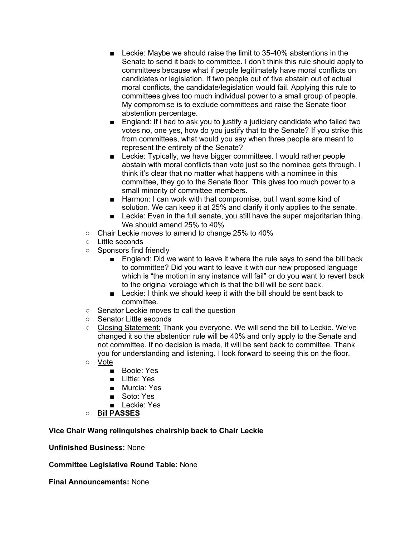- Leckie: Maybe we should raise the limit to 35-40% abstentions in the Senate to send it back to committee. I don't think this rule should apply to committees because what if people legitimately have moral conflicts on candidates or legislation. If two people out of five abstain out of actual moral conflicts, the candidate/legislation would fail. Applying this rule to committees gives too much individual power to a small group of people. My compromise is to exclude committees and raise the Senate floor abstention percentage.
- England: If i had to ask you to justify a judiciary candidate who failed two votes no, one yes, how do you justify that to the Senate? If you strike this from committees, what would you say when three people are meant to represent the entirety of the Senate?
- Leckie: Typically, we have bigger committees. I would rather people abstain with moral conflicts than vote just so the nominee gets through. I think it's clear that no matter what happens with a nominee in this committee, they go to the Senate floor. This gives too much power to a small minority of committee members.
- Harmon: I can work with that compromise, but I want some kind of solution. We can keep it at 25% and clarify it only applies to the senate.
- Leckie: Even in the full senate, you still have the super majoritarian thing. We should amend 25% to 40%
- Chair Leckie moves to amend to change 25% to 40%
- Little seconds
- Sponsors find friendly
	- England: Did we want to leave it where the rule says to send the bill back to committee? Did you want to leave it with our new proposed language which is "the motion in any instance will fail" or do you want to revert back to the original verbiage which is that the bill will be sent back.
	- Leckie: I think we should keep it with the bill should be sent back to committee.
- Senator Leckie moves to call the question
- Senator Little seconds
- Closing Statement: Thank you everyone. We will send the bill to Leckie. We've changed it so the abstention rule will be 40% and only apply to the Senate and not committee. If no decision is made, it will be sent back to committee. Thank you for understanding and listening. I look forward to seeing this on the floor.
- Vote
	- Boole: Yes
	- Little: Yes
	- Murcia: Yes
	- Soto: Yes
	- Leckie: Yes
- Bill **PASSES**

## **Vice Chair Wang relinquishes chairship back to Chair Leckie**

**Unfinished Business:** None

**Committee Legislative Round Table:** None

**Final Announcements:** None